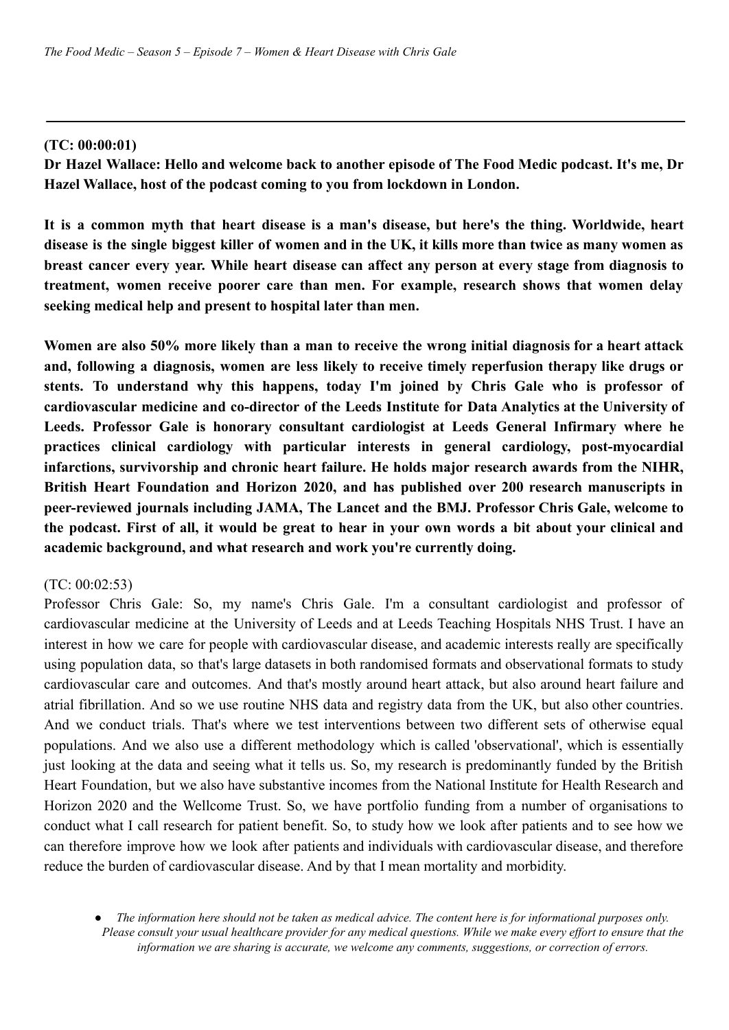# **(TC: 00:00:01)**

**Dr Hazel Wallace: Hello and welcome back to another episode of The Food Medic podcast. It's me, Dr Hazel Wallace, host of the podcast coming to you from lockdown in London.**

**It is a common myth that heart disease is a man's disease, but here's the thing. Worldwide, heart** disease is the single biggest killer of women and in the UK, it kills more than twice as many women as **breast cancer every year. While heart disease can affect any person at every stage from diagnosis to treatment, women receive poorer care than men. For example, research shows that women delay seeking medical help and present to hospital later than men.**

Women are also 50% more likely than a man to receive the wrong initial diagnosis for a heart attack **and, following a diagnosis, women are less likely to receive timely reperfusion therapy like drugs or stents. To understand why this happens, today I'm joined by Chris Gale who is professor of cardiovascular medicine and co-director of the Leeds Institute for Data Analytics at the University of Leeds. Professor Gale is honorary consultant cardiologist at Leeds General Infirmary where he practices clinical cardiology with particular interests in general cardiology, post-myocardial infarctions, survivorship and chronic heart failure. He holds major research awards from the NIHR, British Heart Foundation and Horizon 2020, and has published over 200 research manuscripts in peer-reviewed journals including JAMA, The Lancet and the BMJ. Professor Chris Gale, welcome to** the podcast. First of all, it would be great to hear in your own words a bit about your clinical and **academic background, and what research and work you're currently doing.**

# (TC: 00:02:53)

Professor Chris Gale: So, my name's Chris Gale. I'm a consultant cardiologist and professor of cardiovascular medicine at the University of Leeds and at Leeds Teaching Hospitals NHS Trust. I have an interest in how we care for people with cardiovascular disease, and academic interests really are specifically using population data, so that's large datasets in both randomised formats and observational formats to study cardiovascular care and outcomes. And that's mostly around heart attack, but also around heart failure and atrial fibrillation. And so we use routine NHS data and registry data from the UK, but also other countries. And we conduct trials. That's where we test interventions between two different sets of otherwise equal populations. And we also use a different methodology which is called 'observational', which is essentially just looking at the data and seeing what it tells us. So, my research is predominantly funded by the British Heart Foundation, but we also have substantive incomes from the National Institute for Health Research and Horizon 2020 and the Wellcome Trust. So, we have portfolio funding from a number of organisations to conduct what I call research for patient benefit. So, to study how we look after patients and to see how we can therefore improve how we look after patients and individuals with cardiovascular disease, and therefore reduce the burden of cardiovascular disease. And by that I mean mortality and morbidity.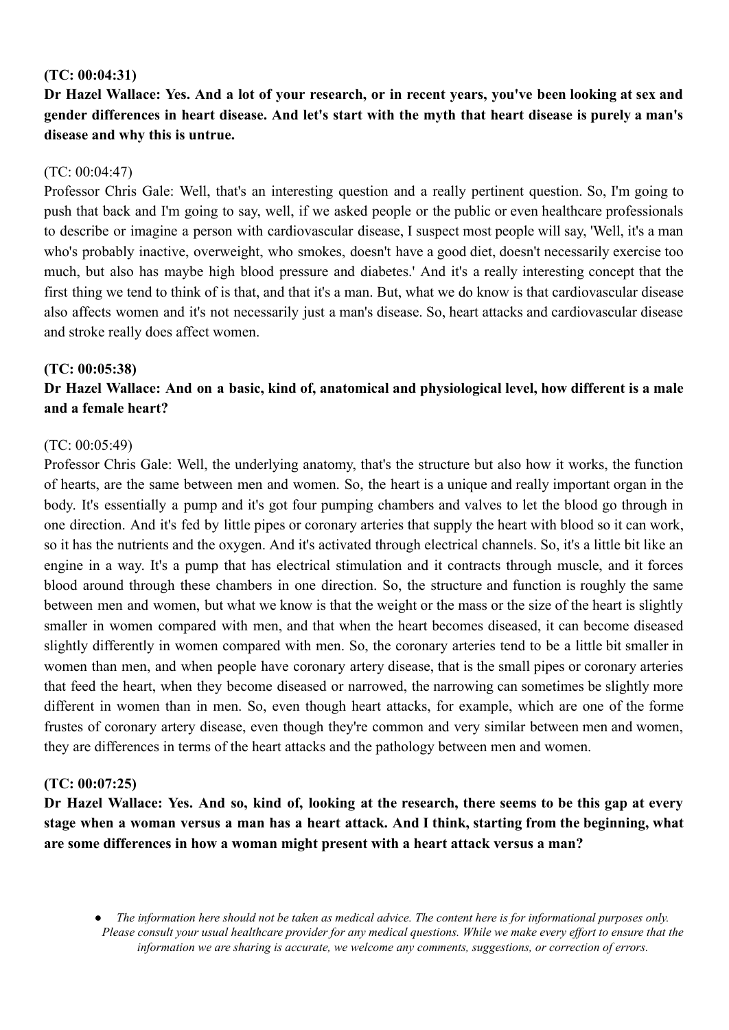## **(TC: 00:04:31)**

Dr Hazel Wallace: Yes. And a lot of your research, or in recent years, you've been looking at sex and gender differences in heart disease. And let's start with the myth that heart disease is purely a man's **disease and why this is untrue.**

## $(TC: 00:04:47)$

Professor Chris Gale: Well, that's an interesting question and a really pertinent question. So, I'm going to push that back and I'm going to say, well, if we asked people or the public or even healthcare professionals to describe or imagine a person with cardiovascular disease, I suspect most people will say, 'Well, it's a man who's probably inactive, overweight, who smokes, doesn't have a good diet, doesn't necessarily exercise too much, but also has maybe high blood pressure and diabetes.' And it's a really interesting concept that the first thing we tend to think of is that, and that it's a man. But, what we do know is that cardiovascular disease also affects women and it's not necessarily just a man's disease. So, heart attacks and cardiovascular disease and stroke really does affect women.

### **(TC: 00:05:38)**

# Dr Hazel Wallace: And on a basic, kind of, anatomical and physiological level, how different is a male **and a female heart?**

### (TC: 00:05:49)

Professor Chris Gale: Well, the underlying anatomy, that's the structure but also how it works, the function of hearts, are the same between men and women. So, the heart is a unique and really important organ in the body. It's essentially a pump and it's got four pumping chambers and valves to let the blood go through in one direction. And it's fed by little pipes or coronary arteries that supply the heart with blood so it can work, so it has the nutrients and the oxygen. And it's activated through electrical channels. So, it's a little bit like an engine in a way. It's a pump that has electrical stimulation and it contracts through muscle, and it forces blood around through these chambers in one direction. So, the structure and function is roughly the same between men and women, but what we know is that the weight or the mass or the size of the heart is slightly smaller in women compared with men, and that when the heart becomes diseased, it can become diseased slightly differently in women compared with men. So, the coronary arteries tend to be a little bit smaller in women than men, and when people have coronary artery disease, that is the small pipes or coronary arteries that feed the heart, when they become diseased or narrowed, the narrowing can sometimes be slightly more different in women than in men. So, even though heart attacks, for example, which are one of the forme frustes of coronary artery disease, even though they're common and very similar between men and women, they are differences in terms of the heart attacks and the pathology between men and women.

### **(TC: 00:07:25)**

Dr Hazel Wallace: Yes. And so, kind of, looking at the research, there seems to be this gap at every stage when a woman versus a man has a heart attack. And I think, starting from the beginning, what **are some differences in how a woman might present with a heart attack versus a man?**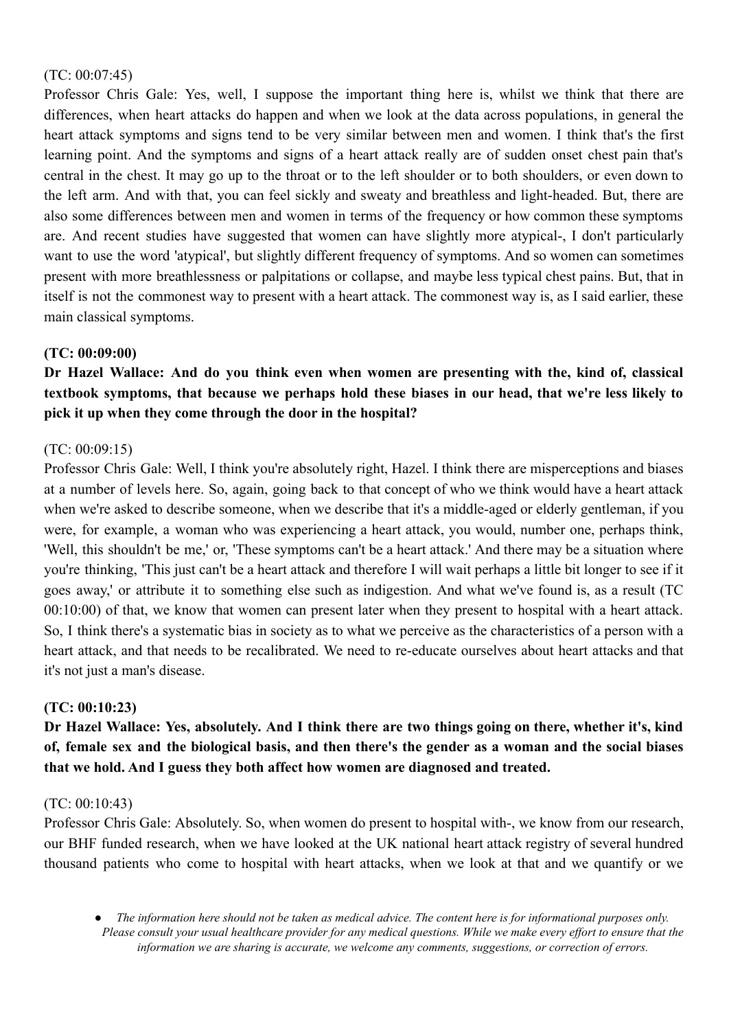# (TC: 00:07:45)

Professor Chris Gale: Yes, well, I suppose the important thing here is, whilst we think that there are differences, when heart attacks do happen and when we look at the data across populations, in general the heart attack symptoms and signs tend to be very similar between men and women. I think that's the first learning point. And the symptoms and signs of a heart attack really are of sudden onset chest pain that's central in the chest. It may go up to the throat or to the left shoulder or to both shoulders, or even down to the left arm. And with that, you can feel sickly and sweaty and breathless and light-headed. But, there are also some differences between men and women in terms of the frequency or how common these symptoms are. And recent studies have suggested that women can have slightly more atypical-, I don't particularly want to use the word 'atypical', but slightly different frequency of symptoms. And so women can sometimes present with more breathlessness or palpitations or collapse, and maybe less typical chest pains. But, that in itself is not the commonest way to present with a heart attack. The commonest way is, as I said earlier, these main classical symptoms.

# **(TC: 00:09:00)**

**Dr Hazel Wallace: And do you think even when women are presenting with the, kind of, classical textbook symptoms, that because we perhaps hold these biases in our head, that we're less likely to pick it up when they come through the door in the hospital?**

### (TC: 00:09:15)

Professor Chris Gale: Well, I think you're absolutely right, Hazel. I think there are misperceptions and biases at a number of levels here. So, again, going back to that concept of who we think would have a heart attack when we're asked to describe someone, when we describe that it's a middle-aged or elderly gentleman, if you were, for example, a woman who was experiencing a heart attack, you would, number one, perhaps think, 'Well, this shouldn't be me,' or, 'These symptoms can't be a heart attack.' And there may be a situation where you're thinking, 'This just can't be a heart attack and therefore I will wait perhaps a little bit longer to see if it goes away,' or attribute it to something else such as indigestion. And what we've found is, as a result (TC 00:10:00) of that, we know that women can present later when they present to hospital with a heart attack. So, I think there's a systematic bias in society as to what we perceive as the characteristics of a person with a heart attack, and that needs to be recalibrated. We need to re-educate ourselves about heart attacks and that it's not just a man's disease.

### **(TC: 00:10:23)**

Dr Hazel Wallace: Yes, absolutely. And I think there are two things going on there, whether it's, kind of, female sex and the biological basis, and then there's the gender as a woman and the social biases **that we hold. And I guess they both affect how women are diagnosed and treated.**

### (TC: 00:10:43)

Professor Chris Gale: Absolutely. So, when women do present to hospital with-, we know from our research, our BHF funded research, when we have looked at the UK national heart attack registry of several hundred thousand patients who come to hospital with heart attacks, when we look at that and we quantify or we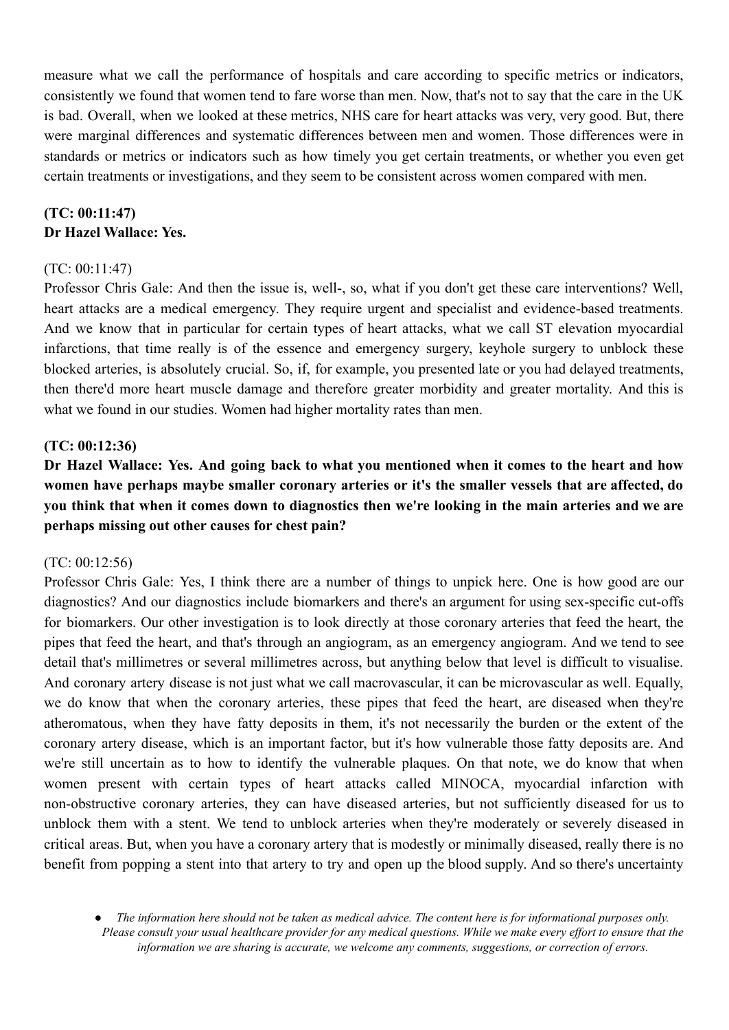measure what we call the performance of hospitals and care according to specific metrics or indicators, consistently we found that women tend to fare worse than men. Now, that's not to say that the care in the UK is bad. Overall, when we looked at these metrics, NHS care for heart attacks was very, very good. But, there were marginal differences and systematic differences between men and women. Those differences were in standards or metrics or indicators such as how timely you get certain treatments, or whether you even get certain treatments or investigations, and they seem to be consistent across women compared with men.

# **(TC: 00:11:47) Dr Hazel Wallace: Yes.**

## $(TC: 00.11.47)$

Professor Chris Gale: And then the issue is, well-, so, what if you don't get these care interventions? Well, heart attacks are a medical emergency. They require urgent and specialist and evidence-based treatments. And we know that in particular for certain types of heart attacks, what we call ST elevation myocardial infarctions, that time really is of the essence and emergency surgery, keyhole surgery to unblock these blocked arteries, is absolutely crucial. So, if, for example, you presented late or you had delayed treatments, then there'd more heart muscle damage and therefore greater morbidity and greater mortality. And this is what we found in our studies. Women had higher mortality rates than men.

## **(TC: 00:12:36)**

Dr Hazel Wallace: Yes. And going back to what you mentioned when it comes to the heart and how **women have perhaps maybe smaller coronary arteries or it's the smaller vessels that are affected, do** you think that when it comes down to diagnostics then we're looking in the main arteries and we are **perhaps missing out other causes for chest pain?**

### (TC: 00:12:56)

Professor Chris Gale: Yes, I think there are a number of things to unpick here. One is how good are our diagnostics? And our diagnostics include biomarkers and there's an argument for using sex-specific cut-offs for biomarkers. Our other investigation is to look directly at those coronary arteries that feed the heart, the pipes that feed the heart, and that's through an angiogram, as an emergency angiogram. And we tend to see detail that's millimetres or several millimetres across, but anything below that level is difficult to visualise. And coronary artery disease is not just what we call macrovascular, it can be microvascular as well. Equally, we do know that when the coronary arteries, these pipes that feed the heart, are diseased when they're atheromatous, when they have fatty deposits in them, it's not necessarily the burden or the extent of the coronary artery disease, which is an important factor, but it's how vulnerable those fatty deposits are. And we're still uncertain as to how to identify the vulnerable plaques. On that note, we do know that when women present with certain types of heart attacks called MINOCA, myocardial infarction with non-obstructive coronary arteries, they can have diseased arteries, but not sufficiently diseased for us to unblock them with a stent. We tend to unblock arteries when they're moderately or severely diseased in critical areas. But, when you have a coronary artery that is modestly or minimally diseased, really there is no benefit from popping a stent into that artery to try and open up the blood supply. And so there's uncertainty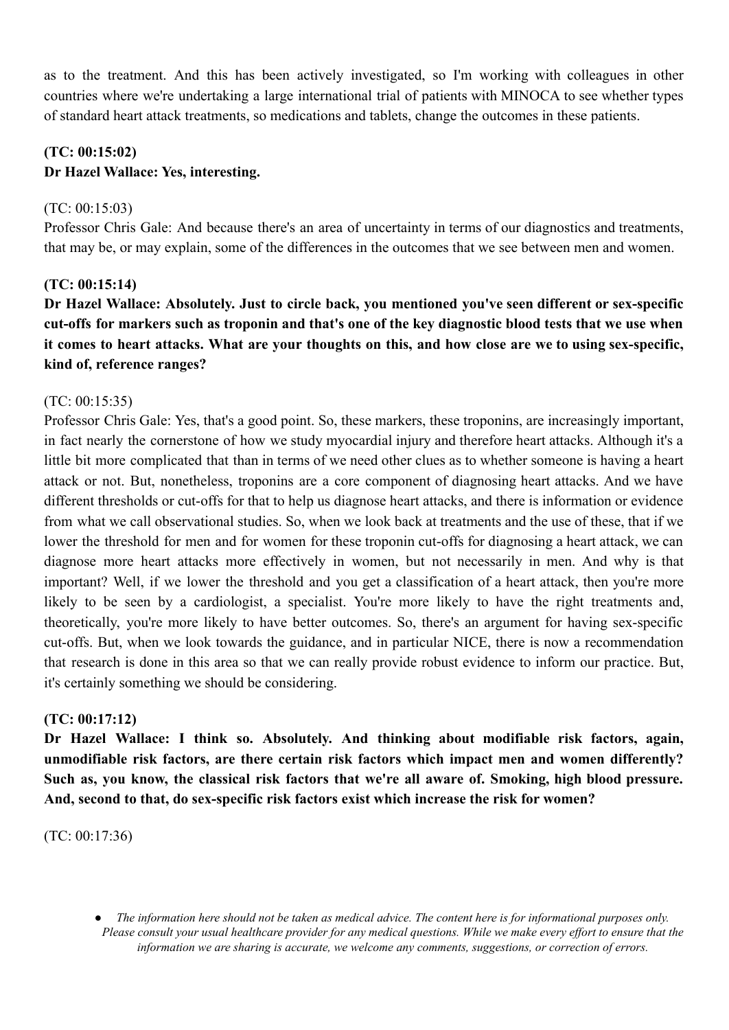as to the treatment. And this has been actively investigated, so I'm working with colleagues in other countries where we're undertaking a large international trial of patients with MINOCA to see whether types of standard heart attack treatments, so medications and tablets, change the outcomes in these patients.

# **(TC: 00:15:02) Dr Hazel Wallace: Yes, interesting.**

# (TC: 00:15:03)

Professor Chris Gale: And because there's an area of uncertainty in terms of our diagnostics and treatments, that may be, or may explain, some of the differences in the outcomes that we see between men and women.

# **(TC: 00:15:14)**

**Dr Hazel Wallace: Absolutely. Just to circle back, you mentioned you've seen different or sex-specific** cut-offs for markers such as troponin and that's one of the key diagnostic blood tests that we use when it comes to heart attacks. What are your thoughts on this, and how close are we to using sex-specific. **kind of, reference ranges?**

# (TC: 00:15:35)

Professor Chris Gale: Yes, that's a good point. So, these markers, these troponins, are increasingly important, in fact nearly the cornerstone of how we study myocardial injury and therefore heart attacks. Although it's a little bit more complicated that than in terms of we need other clues as to whether someone is having a heart attack or not. But, nonetheless, troponins are a core component of diagnosing heart attacks. And we have different thresholds or cut-offs for that to help us diagnose heart attacks, and there is information or evidence from what we call observational studies. So, when we look back at treatments and the use of these, that if we lower the threshold for men and for women for these troponin cut-offs for diagnosing a heart attack, we can diagnose more heart attacks more effectively in women, but not necessarily in men. And why is that important? Well, if we lower the threshold and you get a classification of a heart attack, then you're more likely to be seen by a cardiologist, a specialist. You're more likely to have the right treatments and, theoretically, you're more likely to have better outcomes. So, there's an argument for having sex-specific cut-offs. But, when we look towards the guidance, and in particular NICE, there is now a recommendation that research is done in this area so that we can really provide robust evidence to inform our practice. But, it's certainly something we should be considering.

# **(TC: 00:17:12)**

**Dr Hazel Wallace: I think so. Absolutely. And thinking about modifiable risk factors, again, unmodifiable risk factors, are there certain risk factors which impact men and women differently? Such as, you know, the classical risk factors that we're all aware of. Smoking, high blood pressure. And, second to that, do sex-specific risk factors exist which increase the risk for women?**

(TC: 00:17:36)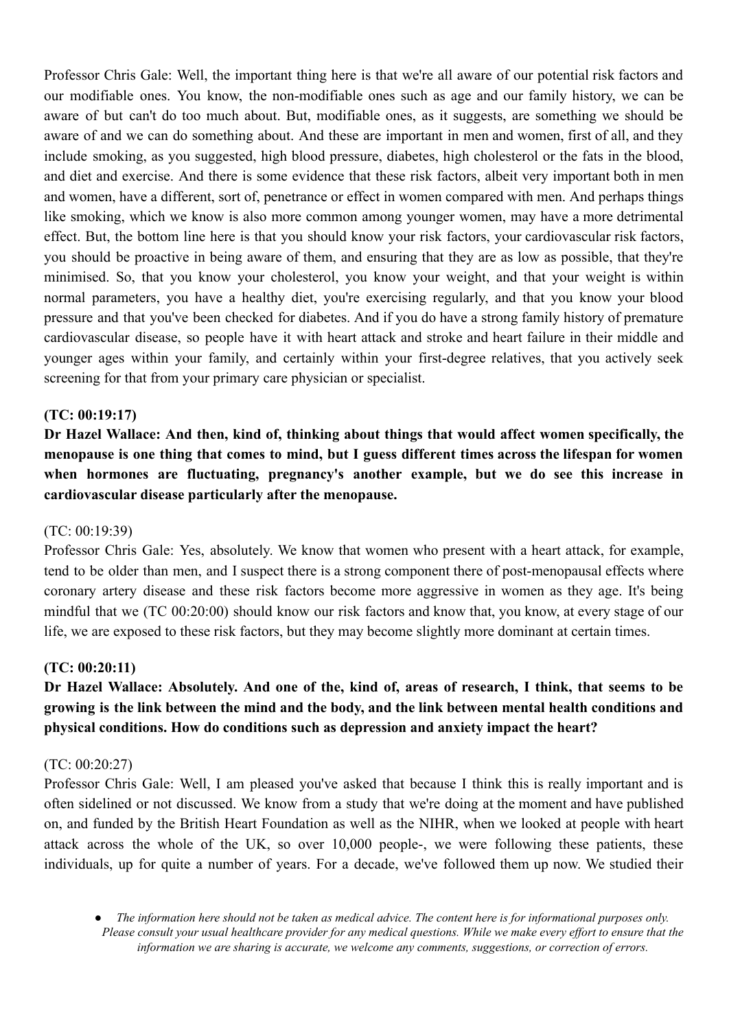Professor Chris Gale: Well, the important thing here is that we're all aware of our potential risk factors and our modifiable ones. You know, the non-modifiable ones such as age and our family history, we can be aware of but can't do too much about. But, modifiable ones, as it suggests, are something we should be aware of and we can do something about. And these are important in men and women, first of all, and they include smoking, as you suggested, high blood pressure, diabetes, high cholesterol or the fats in the blood, and diet and exercise. And there is some evidence that these risk factors, albeit very important both in men and women, have a different, sort of, penetrance or effect in women compared with men. And perhaps things like smoking, which we know is also more common among younger women, may have a more detrimental effect. But, the bottom line here is that you should know your risk factors, your cardiovascular risk factors, you should be proactive in being aware of them, and ensuring that they are as low as possible, that they're minimised. So, that you know your cholesterol, you know your weight, and that your weight is within normal parameters, you have a healthy diet, you're exercising regularly, and that you know your blood pressure and that you've been checked for diabetes. And if you do have a strong family history of premature cardiovascular disease, so people have it with heart attack and stroke and heart failure in their middle and younger ages within your family, and certainly within your first-degree relatives, that you actively seek screening for that from your primary care physician or specialist.

## **(TC: 00:19:17)**

**Dr Hazel Wallace: And then, kind of, thinking about things that would affect women specifically, the** menopause is one thing that comes to mind, but I guess different times across the lifespan for women **when hormones are fluctuating, pregnancy's another example, but we do see this increase in cardiovascular disease particularly after the menopause.**

### (TC: 00:19:39)

Professor Chris Gale: Yes, absolutely. We know that women who present with a heart attack, for example, tend to be older than men, and I suspect there is a strong component there of post-menopausal effects where coronary artery disease and these risk factors become more aggressive in women as they age. It's being mindful that we (TC 00:20:00) should know our risk factors and know that, you know, at every stage of our life, we are exposed to these risk factors, but they may become slightly more dominant at certain times.

## **(TC: 00:20:11)**

# Dr Hazel Wallace: Absolutely. And one of the, kind of, areas of research, I think, that seems to be growing is the link between the mind and the body, and the link between mental health conditions and **physical conditions. How do conditions such as depression and anxiety impact the heart?**

#### (TC: 00:20:27)

Professor Chris Gale: Well, I am pleased you've asked that because I think this is really important and is often sidelined or not discussed. We know from a study that we're doing at the moment and have published on, and funded by the British Heart Foundation as well as the NIHR, when we looked at people with heart attack across the whole of the UK, so over 10,000 people-, we were following these patients, these individuals, up for quite a number of years. For a decade, we've followed them up now. We studied their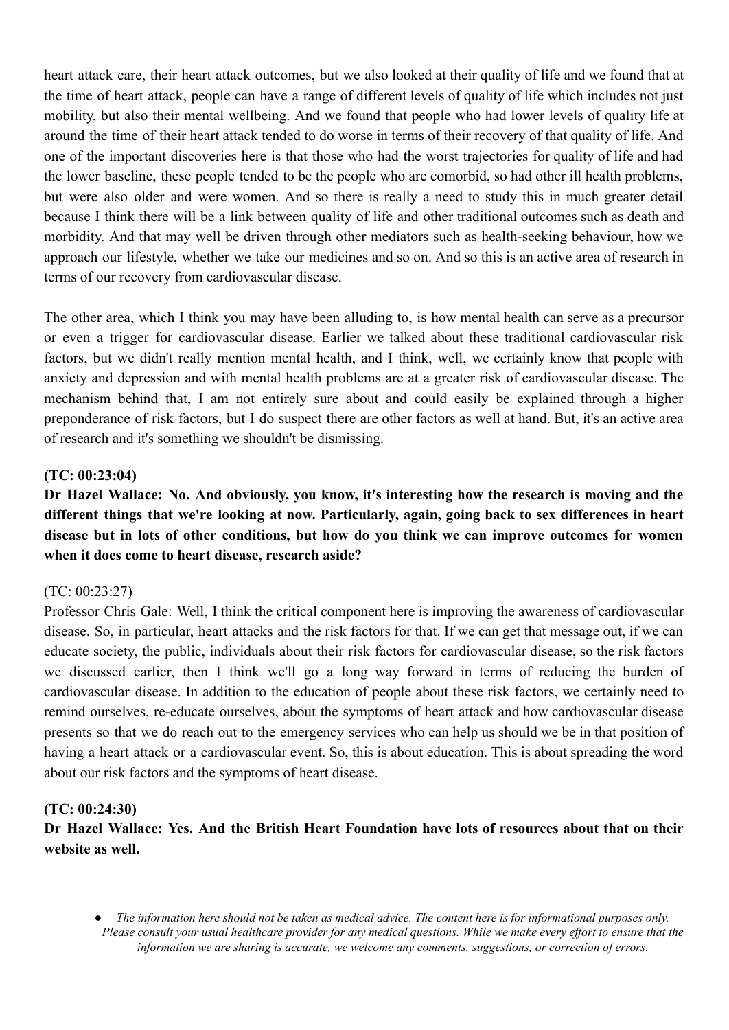heart attack care, their heart attack outcomes, but we also looked at their quality of life and we found that at the time of heart attack, people can have a range of different levels of quality of life which includes not just mobility, but also their mental wellbeing. And we found that people who had lower levels of quality life at around the time of their heart attack tended to do worse in terms of their recovery of that quality of life. And one of the important discoveries here is that those who had the worst trajectories for quality of life and had the lower baseline, these people tended to be the people who are comorbid, so had other ill health problems, but were also older and were women. And so there is really a need to study this in much greater detail because I think there will be a link between quality of life and other traditional outcomes such as death and morbidity. And that may well be driven through other mediators such as health-seeking behaviour, how we approach our lifestyle, whether we take our medicines and so on. And so this is an active area of research in terms of our recovery from cardiovascular disease.

The other area, which I think you may have been alluding to, is how mental health can serve as a precursor or even a trigger for cardiovascular disease. Earlier we talked about these traditional cardiovascular risk factors, but we didn't really mention mental health, and I think, well, we certainly know that people with anxiety and depression and with mental health problems are at a greater risk of cardiovascular disease. The mechanism behind that, I am not entirely sure about and could easily be explained through a higher preponderance of risk factors, but I do suspect there are other factors as well at hand. But, it's an active area of research and it's something we shouldn't be dismissing.

## **(TC: 00:23:04)**

**Dr Hazel Wallace: No. And obviously, you know, it's interesting how the research is moving and the different things that we're looking at now. Particularly, again, going back to sex differences in heart disease but in lots of other conditions, but how do you think we can improve outcomes for women when it does come to heart disease, research aside?**

### (TC: 00:23:27)

Professor Chris Gale: Well, I think the critical component here is improving the awareness of cardiovascular disease. So, in particular, heart attacks and the risk factors for that. If we can get that message out, if we can educate society, the public, individuals about their risk factors for cardiovascular disease, so the risk factors we discussed earlier, then I think we'll go a long way forward in terms of reducing the burden of cardiovascular disease. In addition to the education of people about these risk factors, we certainly need to remind ourselves, re-educate ourselves, about the symptoms of heart attack and how cardiovascular disease presents so that we do reach out to the emergency services who can help us should we be in that position of having a heart attack or a cardiovascular event. So, this is about education. This is about spreading the word about our risk factors and the symptoms of heart disease.

### **(TC: 00:24:30)**

**Dr Hazel Wallace: Yes. And the British Heart Foundation have lots of resources about that on their website as well.**